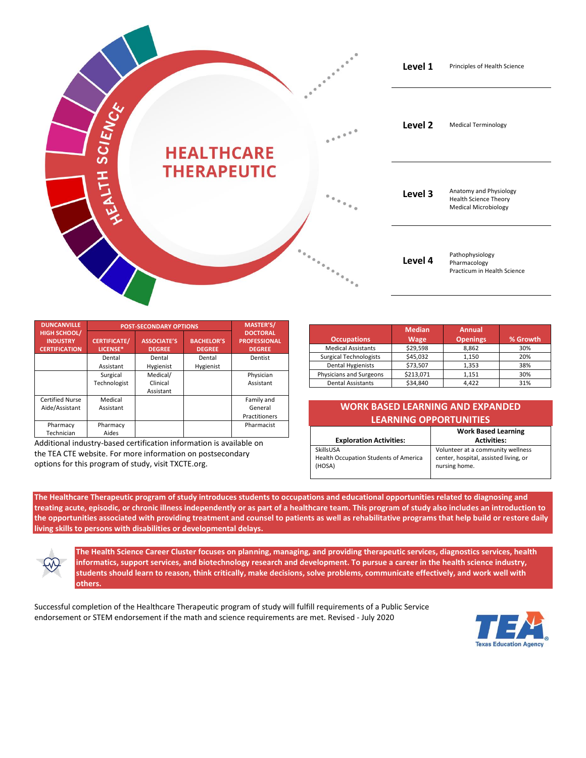

| <b>DUNCANVILLE</b>                                             | <b>POST-SECONDARY OPTIONS</b>   |                                     |                                    | <b>MASTER'S/</b>                                        |
|----------------------------------------------------------------|---------------------------------|-------------------------------------|------------------------------------|---------------------------------------------------------|
| <b>HIGH SCHOOL/</b><br><b>INDUSTRY</b><br><b>CERTIFICATION</b> | <b>CERTIFICATE/</b><br>LICENSE* | <b>ASSOCIATE'S</b><br><b>DEGREE</b> | <b>BACHELOR'S</b><br><b>DEGREE</b> | <b>DOCTORAL</b><br><b>PROFESSIONAL</b><br><b>DEGREE</b> |
|                                                                | Dental                          | Dental                              | Dental                             | Dentist                                                 |
|                                                                | Assistant                       | Hygienist                           | Hygienist                          |                                                         |
|                                                                | Surgical                        | Medical/                            |                                    | Physician                                               |
|                                                                | Technologist                    | Clinical                            |                                    | Assistant                                               |
|                                                                |                                 | Assistant                           |                                    |                                                         |
| <b>Certified Nurse</b>                                         | Medical                         |                                     |                                    | Family and                                              |
| Aide/Assistant                                                 | Assistant                       |                                     |                                    | General                                                 |
|                                                                |                                 |                                     |                                    | Practitioners                                           |
| Pharmacy                                                       | Pharmacy                        |                                     |                                    | Pharmacist                                              |
| Technician                                                     | Aides                           |                                     |                                    |                                                         |

Additional industry-based certification information is available on the TEA CTE website. For more information on postsecondary options for this program of study, visit TXCTE.org.

|                               | <b>Median</b> | <b>Annual</b>   |          |
|-------------------------------|---------------|-----------------|----------|
| <b>Occupations</b>            | <b>Wage</b>   | <b>Openings</b> | % Growth |
| <b>Medical Assistants</b>     | \$29,598      | 8.862           | 30%      |
| <b>Surgical Technologists</b> | \$45,032      | 1.150           | 20%      |
| <b>Dental Hygienists</b>      | \$73,507      | 1.353           | 38%      |
| Physicians and Surgeons       | \$213,071     | 1.151           | 30%      |
| <b>Dental Assistants</b>      | \$34.840      | 4.422           | 31%      |

| <b>WORK BASED LEARNING AND EXPANDED</b> |
|-----------------------------------------|
| <b>LEARNING OPPORTUNITIES</b>           |

|                                       | <b>Work Based Learning</b>            |
|---------------------------------------|---------------------------------------|
| <b>Exploration Activities:</b>        | <b>Activities:</b>                    |
| SkillsUSA                             | Volunteer at a community wellness     |
| Health Occupation Students of America | center, hospital, assisted living, or |
| (HOSA)                                | nursing home.                         |
|                                       |                                       |

**The Healthcare Therapeutic program of study introduces students to occupations and educational opportunities related to diagnosing and treating acute, episodic, or chronic illness independently or as part of a healthcare team. This program of study also includes an introduction to the opportunities associated with providing treatment and counsel to patients as well as rehabilitative programs that help build or restore daily living skills to persons with disabilities or developmental delays.**

**The Health Science Career Cluster focuses on planning, managing, and providing therapeutic services, diagnostics services, health informatics, support services, and biotechnology research and development. To pursue a career in the health science industry, students should learn to reason, think critically, make decisions, solve problems, communicate effectively, and work well with others.**

Successful completion of the Healthcare Therapeutic program of study will fulfill requirements of a Public Service endorsement or STEM endorsement if the math and science requirements are met. Revised - July 2020

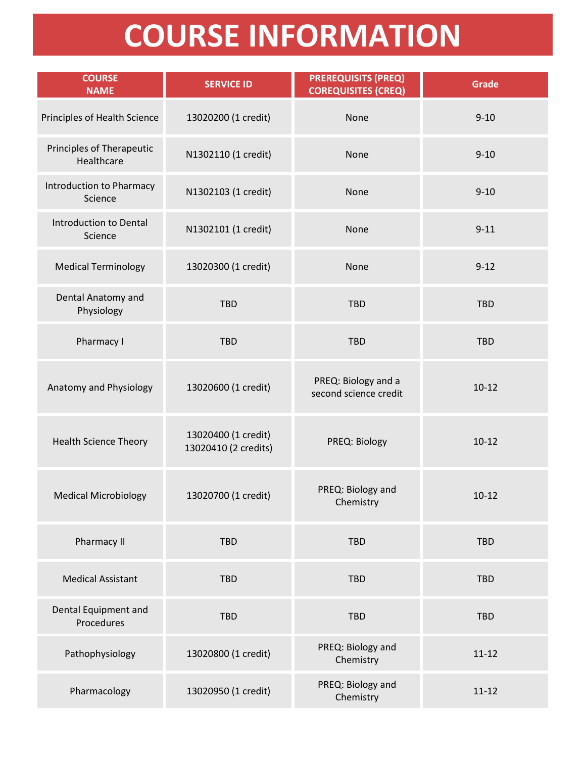## **COURSE INFORMATION**

| <b>COURSE</b><br><b>NAME</b>                   | <b>SERVICE ID</b>                           | <b>PREREQUISITS (PREQ)</b><br><b>COREQUISITES (CREQ)</b> | <b>Grade</b> |
|------------------------------------------------|---------------------------------------------|----------------------------------------------------------|--------------|
| Principles of Health Science                   | 13020200 (1 credit)                         | None                                                     | $9 - 10$     |
| <b>Principles of Therapeutic</b><br>Healthcare | N1302110 (1 credit)                         | None                                                     | $9 - 10$     |
| Introduction to Pharmacy<br>Science            | N1302103 (1 credit)                         | None                                                     | $9 - 10$     |
| Introduction to Dental<br>Science              | N1302101 (1 credit)                         | None                                                     | $9 - 11$     |
| <b>Medical Terminology</b>                     | 13020300 (1 credit)                         | None                                                     | $9 - 12$     |
| Dental Anatomy and<br>Physiology               | <b>TBD</b>                                  | <b>TBD</b>                                               | <b>TBD</b>   |
| Pharmacy I                                     | <b>TBD</b>                                  | <b>TBD</b>                                               | <b>TBD</b>   |
| Anatomy and Physiology                         | 13020600 (1 credit)                         | PREQ: Biology and a<br>second science credit             | $10 - 12$    |
| <b>Health Science Theory</b>                   | 13020400 (1 credit)<br>13020410 (2 credits) | PREQ: Biology                                            | $10 - 12$    |
| <b>Medical Microbiology</b>                    | 13020700 (1 credit)                         | PREQ: Biology and<br>Chemistry                           | $10 - 12$    |
| Pharmacy II                                    | <b>TBD</b>                                  | <b>TBD</b>                                               | <b>TBD</b>   |
| <b>Medical Assistant</b>                       | <b>TBD</b>                                  | <b>TBD</b>                                               | <b>TBD</b>   |
| Dental Equipment and<br>Procedures             | <b>TBD</b>                                  | <b>TBD</b>                                               | <b>TBD</b>   |
| Pathophysiology                                | 13020800 (1 credit)                         | PREQ: Biology and<br>Chemistry                           | $11 - 12$    |
| Pharmacology                                   | 13020950 (1 credit)                         | PREQ: Biology and<br>Chemistry                           | $11 - 12$    |